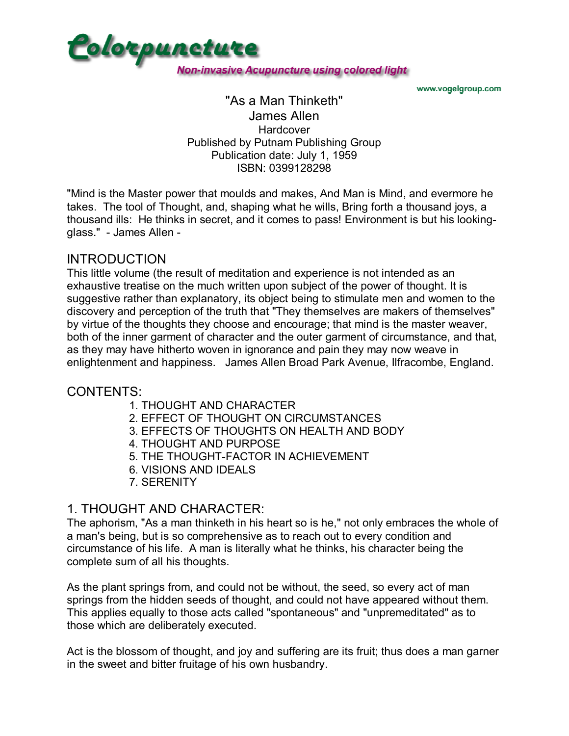

www.vogelgroup.com

#### "As a Man Thinketh" James Allen **Hardcover** Published by Putnam Publishing Group Publication date: July 1, 1959 ISBN: 0399128298

"Mind is the Master power that moulds and makes, And Man is Mind, and evermore he takes. The tool of Thought, and, shaping what he wills, Bring forth a thousand joys, a thousand ills: He thinks in secret, and it comes to pass! Environment is but his lookingglass." - James Allen -

## INTRODUCTION

This little volume (the result of meditation and experience is not intended as an exhaustive treatise on the much written upon subject of the power of thought. It is suggestive rather than explanatory, its object being to stimulate men and women to the discovery and perception of the truth that "They themselves are makers of themselves" by virtue of the thoughts they choose and encourage; that mind is the master weaver, both of the inner garment of character and the outer garment of circumstance, and that, as they may have hitherto woven in ignorance and pain they may now weave in enlightenment and happiness. James Allen Broad Park Avenue, Ilfracombe, England.

## CONTENTS:

- 1. THOUGHT AND CHARACTER
- 2. EFFECT OF THOUGHT ON CIRCUMSTANCES
- 3. EFFECTS OF THOUGHTS ON HEALTH AND BODY
- 4. THOUGHT AND PURPOSE
- 5. THE THOUGHT-FACTOR IN ACHIEVEMENT
- 6. VISIONS AND IDEALS
- 7. SERENITY

## 1. THOUGHT AND CHARACTER:

The aphorism, "As a man thinketh in his heart so is he," not only embraces the whole of a man's being, but is so comprehensive as to reach out to every condition and circumstance of his life. A man is literally what he thinks, his character being the complete sum of all his thoughts.

As the plant springs from, and could not be without, the seed, so every act of man springs from the hidden seeds of thought, and could not have appeared without them. This applies equally to those acts called "spontaneous" and "unpremeditated" as to those which are deliberately executed.

Act is the blossom of thought, and joy and suffering are its fruit; thus does a man garner in the sweet and bitter fruitage of his own husbandry.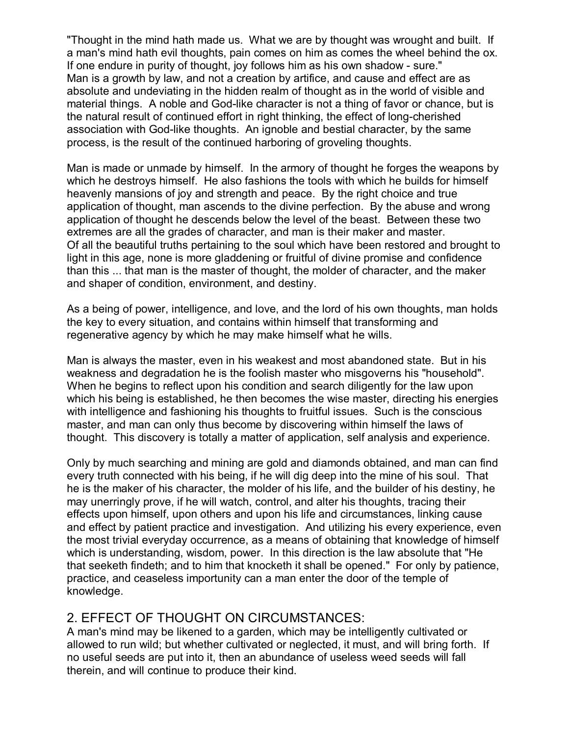"Thought in the mind hath made us. What we are by thought was wrought and built. If a man's mind hath evil thoughts, pain comes on him as comes the wheel behind the ox. If one endure in purity of thought, joy follows him as his own shadow - sure." Man is a growth by law, and not a creation by artifice, and cause and effect are as absolute and undeviating in the hidden realm of thought as in the world of visible and material things. A noble and God-like character is not a thing of favor or chance, but is the natural result of continued effort in right thinking, the effect of long-cherished association with God-like thoughts. An ignoble and bestial character, by the same process, is the result of the continued harboring of groveling thoughts.

Man is made or unmade by himself. In the armory of thought he forges the weapons by which he destroys himself. He also fashions the tools with which he builds for himself heavenly mansions of joy and strength and peace. By the right choice and true application of thought, man ascends to the divine perfection. By the abuse and wrong application of thought he descends below the level of the beast. Between these two extremes are all the grades of character, and man is their maker and master. Of all the beautiful truths pertaining to the soul which have been restored and brought to light in this age, none is more gladdening or fruitful of divine promise and confidence than this ... that man is the master of thought, the molder of character, and the maker and shaper of condition, environment, and destiny.

As a being of power, intelligence, and love, and the lord of his own thoughts, man holds the key to every situation, and contains within himself that transforming and regenerative agency by which he may make himself what he wills.

Man is always the master, even in his weakest and most abandoned state. But in his weakness and degradation he is the foolish master who misgoverns his "household". When he begins to reflect upon his condition and search diligently for the law upon which his being is established, he then becomes the wise master, directing his energies with intelligence and fashioning his thoughts to fruitful issues. Such is the conscious master, and man can only thus become by discovering within himself the laws of thought. This discovery is totally a matter of application, self analysis and experience.

Only by much searching and mining are gold and diamonds obtained, and man can find every truth connected with his being, if he will dig deep into the mine of his soul. That he is the maker of his character, the molder of his life, and the builder of his destiny, he may unerringly prove, if he will watch, control, and alter his thoughts, tracing their effects upon himself, upon others and upon his life and circumstances, linking cause and effect by patient practice and investigation. And utilizing his every experience, even the most trivial everyday occurrence, as a means of obtaining that knowledge of himself which is understanding, wisdom, power. In this direction is the law absolute that "He that seeketh findeth; and to him that knocketh it shall be opened." For only by patience, practice, and ceaseless importunity can a man enter the door of the temple of knowledge.

# 2. EFFECT OF THOUGHT ON CIRCUMSTANCES:

A man's mind may be likened to a garden, which may be intelligently cultivated or allowed to run wild; but whether cultivated or neglected, it must, and will bring forth. If no useful seeds are put into it, then an abundance of useless weed seeds will fall therein, and will continue to produce their kind.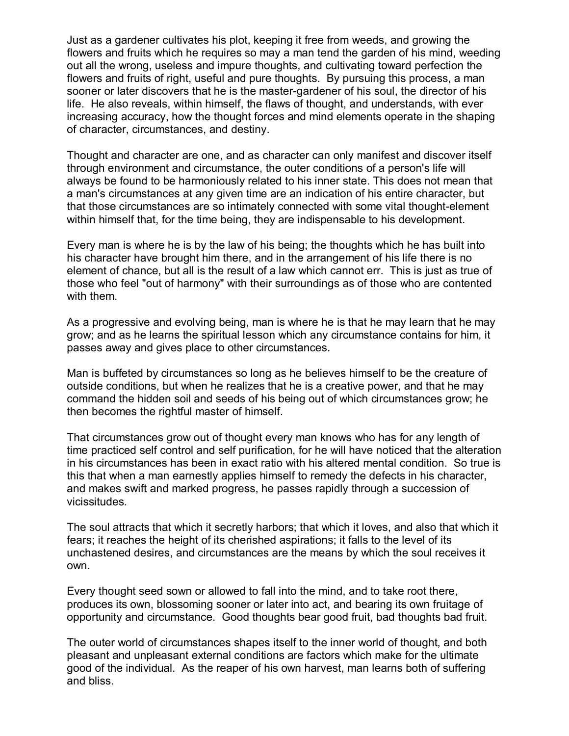Just as a gardener cultivates his plot, keeping it free from weeds, and growing the flowers and fruits which he requires so may a man tend the garden of his mind, weeding out all the wrong, useless and impure thoughts, and cultivating toward perfection the flowers and fruits of right, useful and pure thoughts. By pursuing this process, a man sooner or later discovers that he is the master-gardener of his soul, the director of his life. He also reveals, within himself, the flaws of thought, and understands, with ever increasing accuracy, how the thought forces and mind elements operate in the shaping of character, circumstances, and destiny.

Thought and character are one, and as character can only manifest and discover itself through environment and circumstance, the outer conditions of a person's life will always be found to be harmoniously related to his inner state. This does not mean that a man's circumstances at any given time are an indication of his entire character, but that those circumstances are so intimately connected with some vital thought-element within himself that, for the time being, they are indispensable to his development.

Every man is where he is by the law of his being; the thoughts which he has built into his character have brought him there, and in the arrangement of his life there is no element of chance, but all is the result of a law which cannot err. This is just as true of those who feel "out of harmony" with their surroundings as of those who are contented with them.

As a progressive and evolving being, man is where he is that he may learn that he may grow; and as he learns the spiritual lesson which any circumstance contains for him, it passes away and gives place to other circumstances.

Man is buffeted by circumstances so long as he believes himself to be the creature of outside conditions, but when he realizes that he is a creative power, and that he may command the hidden soil and seeds of his being out of which circumstances grow; he then becomes the rightful master of himself.

That circumstances grow out of thought every man knows who has for any length of time practiced self control and self purification, for he will have noticed that the alteration in his circumstances has been in exact ratio with his altered mental condition. So true is this that when a man earnestly applies himself to remedy the defects in his character, and makes swift and marked progress, he passes rapidly through a succession of vicissitudes.

The soul attracts that which it secretly harbors; that which it loves, and also that which it fears; it reaches the height of its cherished aspirations; it falls to the level of its unchastened desires, and circumstances are the means by which the soul receives it own.

Every thought seed sown or allowed to fall into the mind, and to take root there, produces its own, blossoming sooner or later into act, and bearing its own fruitage of opportunity and circumstance. Good thoughts bear good fruit, bad thoughts bad fruit.

The outer world of circumstances shapes itself to the inner world of thought, and both pleasant and unpleasant external conditions are factors which make for the ultimate good of the individual. As the reaper of his own harvest, man learns both of suffering and bliss.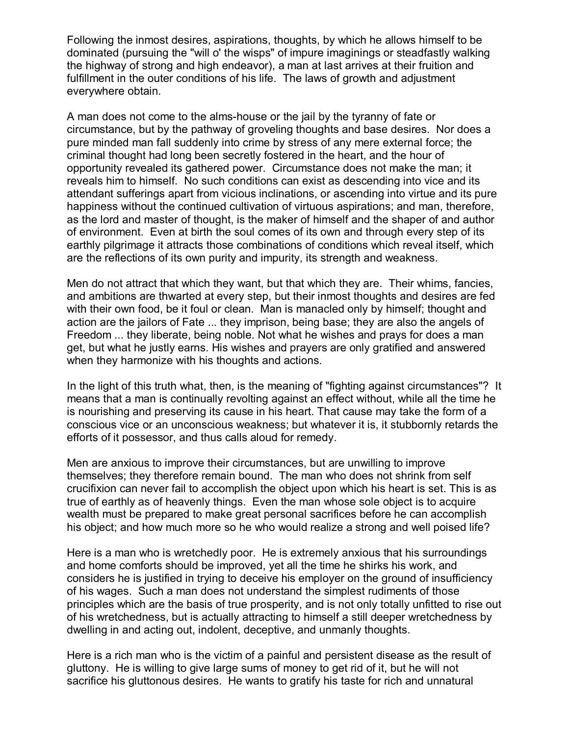Following the inmost desires, aspirations, thoughts, by which he allows himself to be dominated (pursuing the "will o' the wisps" of impure imaginings or steadfastly walking the highway of strong and high endeavor), a man at last arrives at their fruition and fulfillment in the outer conditions of his life. The laws of growth and adjustment everywhere obtain.

A man does not come to the alms-house or the jail by the tyranny of fate or circumstance, but by the pathway of groveling thoughts and base desires. Nor does a pure minded man fall suddenly into crime by stress of any mere external force; the criminal thought had long been secretly fostered in the heart, and the hour of opportunity revealed its gathered power. Circumstance does not make the man; it reveals him to himself. No such conditions can exist as descending into vice and its attendant sufferings apart from vicious inclinations, or ascending into virtue and its pure happiness without the continued cultivation of virtuous aspirations; and man, therefore, as the lord and master of thought, is the maker of himself and the shaper of and author of environment. Even at birth the soul comes of its own and through every step of its earthly pilgrimage it attracts those combinations of conditions which reveal itself, which are the reflections of its own purity and impurity, its strength and weakness.

Men do not attract that which they want, but that which they are. Their whims, fancies, and ambitions are thwarted at every step, but their inmost thoughts and desires are fed with their own food, be it foul or clean. Man is manacled only by himself; thought and action are the jailors of Fate ... they imprison, being base; they are also the angels of Freedom ... they liberate, being noble. Not what he wishes and prays for does a man get, but what he justly earns. His wishes and prayers are only gratified and answered when they harmonize with his thoughts and actions.

In the light of this truth what, then, is the meaning of "fighting against circumstances"? It means that a man is continually revolting against an effect without, while all the time he is nourishing and preserving its cause in his heart. That cause may take the form of a conscious vice or an unconscious weakness; but whatever it is, it stubbornly retards the efforts of it possessor, and thus calls aloud for remedy.

Men are anxious to improve their circumstances, but are unwilling to improve themselves; they therefore remain bound. The man who does not shrink from self crucifixion can never fail to accomplish the object upon which his heart is set. This is as true of earthly as of heavenly things. Even the man whose sole object is to acquire wealth must be prepared to make great personal sacrifices before he can accomplish his object; and how much more so he who would realize a strong and well poised life?

Here is a man who is wretchedly poor. He is extremely anxious that his surroundings and home comforts should be improved, yet all the time he shirks his work, and considers he is justified in trying to deceive his employer on the ground of insufficiency of his wages. Such a man does not understand the simplest rudiments of those principles which are the basis of true prosperity, and is not only totally unfitted to rise out of his wretchedness, but is actually attracting to himself a still deeper wretchedness by dwelling in and acting out, indolent, deceptive, and unmanly thoughts.

Here is a rich man who is the victim of a painful and persistent disease as the result of gluttony. He is willing to give large sums of money to get rid of it, but he will not sacrifice his gluttonous desires. He wants to gratify his taste for rich and unnatural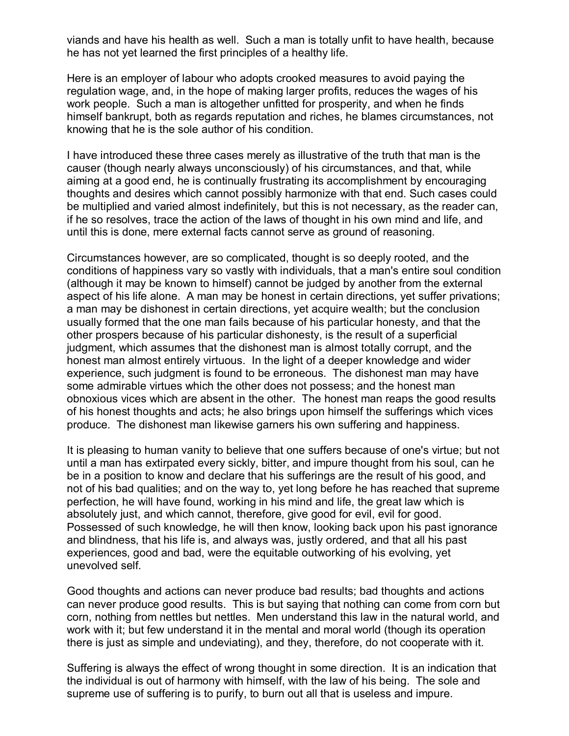viands and have his health as well. Such a man is totally unfit to have health, because he has not yet learned the first principles of a healthy life.

Here is an employer of labour who adopts crooked measures to avoid paying the regulation wage, and, in the hope of making larger profits, reduces the wages of his work people. Such a man is altogether unfitted for prosperity, and when he finds himself bankrupt, both as regards reputation and riches, he blames circumstances, not knowing that he is the sole author of his condition.

I have introduced these three cases merely as illustrative of the truth that man is the causer (though nearly always unconsciously) of his circumstances, and that, while aiming at a good end, he is continually frustrating its accomplishment by encouraging thoughts and desires which cannot possibly harmonize with that end. Such cases could be multiplied and varied almost indefinitely, but this is not necessary, as the reader can, if he so resolves, trace the action of the laws of thought in his own mind and life, and until this is done, mere external facts cannot serve as ground of reasoning.

Circumstances however, are so complicated, thought is so deeply rooted, and the conditions of happiness vary so vastly with individuals, that a man's entire soul condition (although it may be known to himself) cannot be judged by another from the external aspect of his life alone. A man may be honest in certain directions, yet suffer privations; a man may be dishonest in certain directions, yet acquire wealth; but the conclusion usually formed that the one man fails because of his particular honesty, and that the other prospers because of his particular dishonesty, is the result of a superficial judgment, which assumes that the dishonest man is almost totally corrupt, and the honest man almost entirely virtuous. In the light of a deeper knowledge and wider experience, such judgment is found to be erroneous. The dishonest man may have some admirable virtues which the other does not possess; and the honest man obnoxious vices which are absent in the other. The honest man reaps the good results of his honest thoughts and acts; he also brings upon himself the sufferings which vices produce. The dishonest man likewise garners his own suffering and happiness.

It is pleasing to human vanity to believe that one suffers because of one's virtue; but not until a man has extirpated every sickly, bitter, and impure thought from his soul, can he be in a position to know and declare that his sufferings are the result of his good, and not of his bad qualities; and on the way to, yet long before he has reached that supreme perfection, he will have found, working in his mind and life, the great law which is absolutely just, and which cannot, therefore, give good for evil, evil for good. Possessed of such knowledge, he will then know, looking back upon his past ignorance and blindness, that his life is, and always was, justly ordered, and that all his past experiences, good and bad, were the equitable outworking of his evolving, yet unevolved self.

Good thoughts and actions can never produce bad results; bad thoughts and actions can never produce good results. This is but saying that nothing can come from corn but corn, nothing from nettles but nettles. Men understand this law in the natural world, and work with it; but few understand it in the mental and moral world (though its operation there is just as simple and undeviating), and they, therefore, do not cooperate with it.

Suffering is always the effect of wrong thought in some direction. It is an indication that the individual is out of harmony with himself, with the law of his being. The sole and supreme use of suffering is to purify, to burn out all that is useless and impure.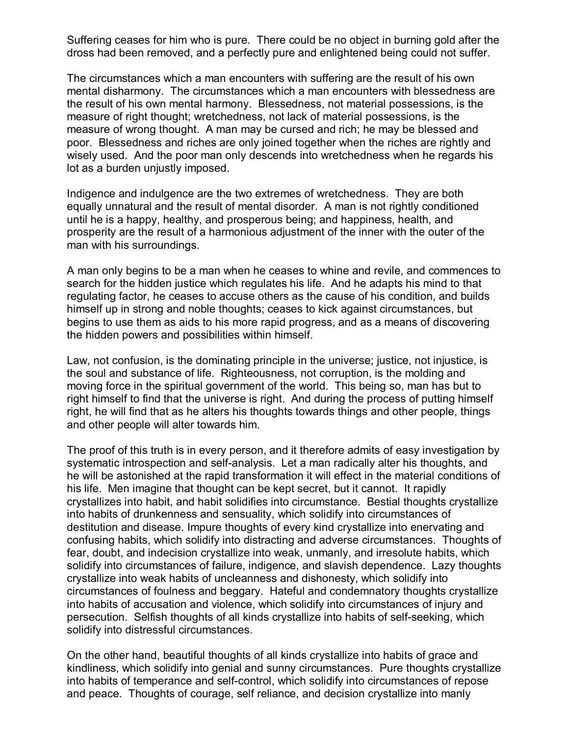Suffering ceases for him who is pure. There could be no object in burning gold after the dross had been removed, and a perfectly pure and enlightened being could not suffer.

The circumstances which a man encounters with suffering are the result of his own mental disharmony. The circumstances which a man encounters with blessedness are the result of his own mental harmony. Blessedness, not material possessions, is the measure of right thought; wretchedness, not lack of material possessions, is the measure of wrong thought. A man may be cursed and rich; he may be blessed and poor. Blessedness and riches are only joined together when the riches are rightly and wisely used. And the poor man only descends into wretchedness when he regards his lot as a burden unjustly imposed.

Indigence and indulgence are the two extremes of wretchedness. They are both equally unnatural and the result of mental disorder. A man is not rightly conditioned until he is a happy, healthy, and prosperous being; and happiness, health, and prosperity are the result of a harmonious adjustment of the inner with the outer of the man with his surroundings.

A man only begins to be a man when he ceases to whine and revile, and commences to search for the hidden justice which regulates his life. And he adapts his mind to that regulating factor, he ceases to accuse others as the cause of his condition, and builds himself up in strong and noble thoughts; ceases to kick against circumstances, but begins to use them as aids to his more rapid progress, and as a means of discovering the hidden powers and possibilities within himself.

Law, not confusion, is the dominating principle in the universe; justice, not injustice, is the soul and substance of life. Righteousness, not corruption, is the molding and moving force in the spiritual government of the world. This being so, man has but to right himself to find that the universe is right. And during the process of putting himself right, he will find that as he alters his thoughts towards things and other people, things and other people will alter towards him.

The proof of this truth is in every person, and it therefore admits of easy investigation by systematic introspection and self-analysis. Let a man radically alter his thoughts, and he will be astonished at the rapid transformation it will effect in the material conditions of his life. Men imagine that thought can be kept secret, but it cannot. It rapidly crystallizes into habit, and habit solidifies into circumstance. Bestial thoughts crystallize into habits of drunkenness and sensuality, which solidify into circumstances of destitution and disease. Impure thoughts of every kind crystallize into enervating and confusing habits, which solidify into distracting and adverse circumstances. Thoughts of fear, doubt, and indecision crystallize into weak, unmanly, and irresolute habits, which solidify into circumstances of failure, indigence, and slavish dependence. Lazy thoughts crystallize into weak habits of uncleanness and dishonesty, which solidify into circumstances of foulness and beggary. Hateful and condemnatory thoughts crystallize into habits of accusation and violence, which solidify into circumstances of injury and persecution. Selfish thoughts of all kinds crystallize into habits of self-seeking, which solidify into distressful circumstances.

On the other hand, beautiful thoughts of all kinds crystallize into habits of grace and kindliness, which solidify into genial and sunny circumstances. Pure thoughts crystallize into habits of temperance and self-control, which solidify into circumstances of repose and peace. Thoughts of courage, self reliance, and decision crystallize into manly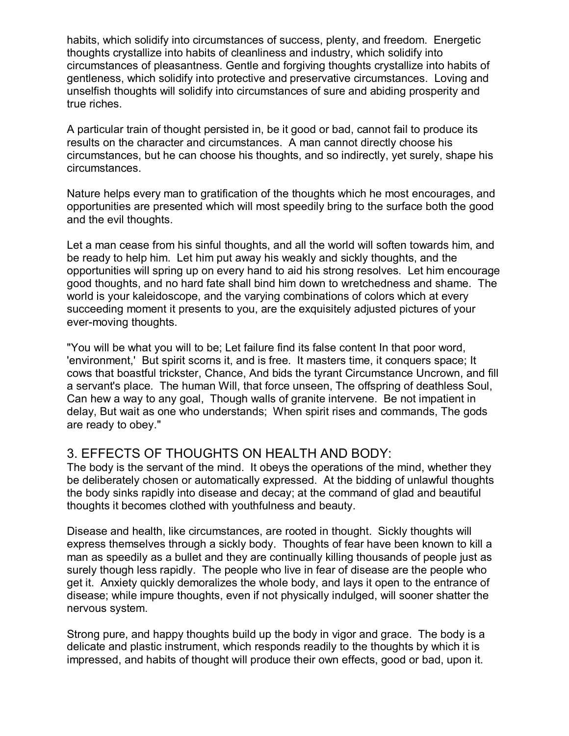habits, which solidify into circumstances of success, plenty, and freedom. Energetic thoughts crystallize into habits of cleanliness and industry, which solidify into circumstances of pleasantness. Gentle and forgiving thoughts crystallize into habits of gentleness, which solidify into protective and preservative circumstances. Loving and unselfish thoughts will solidify into circumstances of sure and abiding prosperity and true riches.

A particular train of thought persisted in, be it good or bad, cannot fail to produce its results on the character and circumstances. A man cannot directly choose his circumstances, but he can choose his thoughts, and so indirectly, yet surely, shape his circumstances.

Nature helps every man to gratification of the thoughts which he most encourages, and opportunities are presented which will most speedily bring to the surface both the good and the evil thoughts.

Let a man cease from his sinful thoughts, and all the world will soften towards him, and be ready to help him. Let him put away his weakly and sickly thoughts, and the opportunities will spring up on every hand to aid his strong resolves. Let him encourage good thoughts, and no hard fate shall bind him down to wretchedness and shame. The world is your kaleidoscope, and the varying combinations of colors which at every succeeding moment it presents to you, are the exquisitely adjusted pictures of your ever-moving thoughts.

"You will be what you will to be; Let failure find its false content In that poor word, 'environment,' But spirit scorns it, and is free. It masters time, it conquers space; It cows that boastful trickster, Chance, And bids the tyrant Circumstance Uncrown, and fill a servant's place. The human Will, that force unseen, The offspring of deathless Soul, Can hew a way to any goal, Though walls of granite intervene. Be not impatient in delay, But wait as one who understands; When spirit rises and commands, The gods are ready to obey."

## 3. EFFECTS OF THOUGHTS ON HEALTH AND BODY:

The body is the servant of the mind. It obeys the operations of the mind, whether they be deliberately chosen or automatically expressed. At the bidding of unlawful thoughts the body sinks rapidly into disease and decay; at the command of glad and beautiful thoughts it becomes clothed with youthfulness and beauty.

Disease and health, like circumstances, are rooted in thought. Sickly thoughts will express themselves through a sickly body. Thoughts of fear have been known to kill a man as speedily as a bullet and they are continually killing thousands of people just as surely though less rapidly. The people who live in fear of disease are the people who get it. Anxiety quickly demoralizes the whole body, and lays it open to the entrance of disease; while impure thoughts, even if not physically indulged, will sooner shatter the nervous system.

Strong pure, and happy thoughts build up the body in vigor and grace. The body is a delicate and plastic instrument, which responds readily to the thoughts by which it is impressed, and habits of thought will produce their own effects, good or bad, upon it.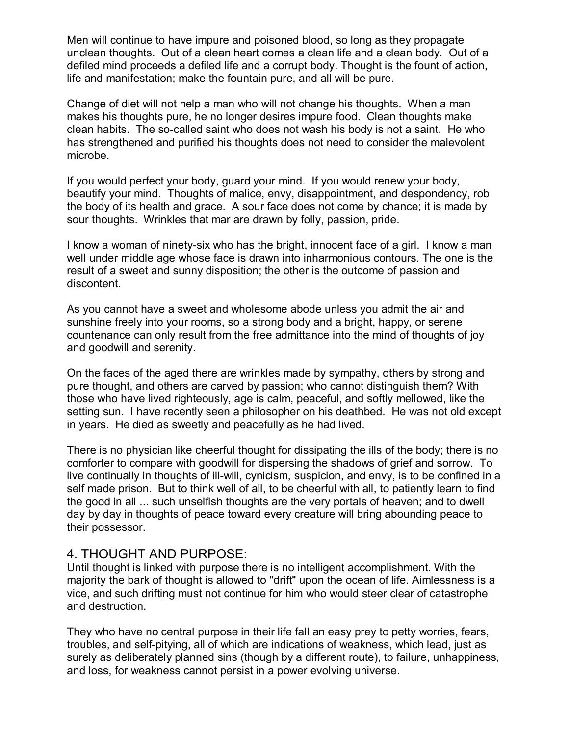Men will continue to have impure and poisoned blood, so long as they propagate unclean thoughts. Out of a clean heart comes a clean life and a clean body. Out of a defiled mind proceeds a defiled life and a corrupt body. Thought is the fount of action, life and manifestation; make the fountain pure, and all will be pure.

Change of diet will not help a man who will not change his thoughts. When a man makes his thoughts pure, he no longer desires impure food. Clean thoughts make clean habits. The so-called saint who does not wash his body is not a saint. He who has strengthened and purified his thoughts does not need to consider the malevolent microbe.

If you would perfect your body, guard your mind. If you would renew your body, beautify your mind. Thoughts of malice, envy, disappointment, and despondency, rob the body of its health and grace. A sour face does not come by chance; it is made by sour thoughts. Wrinkles that mar are drawn by folly, passion, pride.

I know a woman of ninety-six who has the bright, innocent face of a girl. I know a man well under middle age whose face is drawn into inharmonious contours. The one is the result of a sweet and sunny disposition; the other is the outcome of passion and discontent.

As you cannot have a sweet and wholesome abode unless you admit the air and sunshine freely into your rooms, so a strong body and a bright, happy, or serene countenance can only result from the free admittance into the mind of thoughts of joy and goodwill and serenity.

On the faces of the aged there are wrinkles made by sympathy, others by strong and pure thought, and others are carved by passion; who cannot distinguish them? With those who have lived righteously, age is calm, peaceful, and softly mellowed, like the setting sun. I have recently seen a philosopher on his deathbed. He was not old except in years. He died as sweetly and peacefully as he had lived.

There is no physician like cheerful thought for dissipating the ills of the body; there is no comforter to compare with goodwill for dispersing the shadows of grief and sorrow. To live continually in thoughts of ill-will, cynicism, suspicion, and envy, is to be confined in a self made prison. But to think well of all, to be cheerful with all, to patiently learn to find the good in all ... such unselfish thoughts are the very portals of heaven; and to dwell day by day in thoughts of peace toward every creature will bring abounding peace to their possessor.

## 4. THOUGHT AND PURPOSE:

Until thought is linked with purpose there is no intelligent accomplishment. With the majority the bark of thought is allowed to "drift" upon the ocean of life. Aimlessness is a vice, and such drifting must not continue for him who would steer clear of catastrophe and destruction.

They who have no central purpose in their life fall an easy prey to petty worries, fears, troubles, and self-pitying, all of which are indications of weakness, which lead, just as surely as deliberately planned sins (though by a different route), to failure, unhappiness, and loss, for weakness cannot persist in a power evolving universe.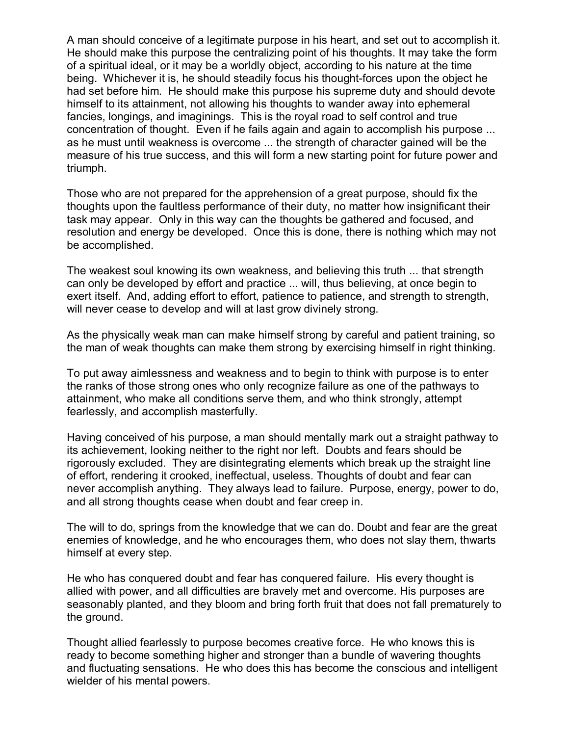A man should conceive of a legitimate purpose in his heart, and set out to accomplish it. He should make this purpose the centralizing point of his thoughts. It may take the form of a spiritual ideal, or it may be a worldly object, according to his nature at the time being. Whichever it is, he should steadily focus his thought-forces upon the object he had set before him. He should make this purpose his supreme duty and should devote himself to its attainment, not allowing his thoughts to wander away into ephemeral fancies, longings, and imaginings. This is the royal road to self control and true concentration of thought. Even if he fails again and again to accomplish his purpose ... as he must until weakness is overcome ... the strength of character gained will be the measure of his true success, and this will form a new starting point for future power and triumph.

Those who are not prepared for the apprehension of a great purpose, should fix the thoughts upon the faultless performance of their duty, no matter how insignificant their task may appear. Only in this way can the thoughts be gathered and focused, and resolution and energy be developed. Once this is done, there is nothing which may not be accomplished.

The weakest soul knowing its own weakness, and believing this truth ... that strength can only be developed by effort and practice ... will, thus believing, at once begin to exert itself. And, adding effort to effort, patience to patience, and strength to strength, will never cease to develop and will at last grow divinely strong.

As the physically weak man can make himself strong by careful and patient training, so the man of weak thoughts can make them strong by exercising himself in right thinking.

To put away aimlessness and weakness and to begin to think with purpose is to enter the ranks of those strong ones who only recognize failure as one of the pathways to attainment, who make all conditions serve them, and who think strongly, attempt fearlessly, and accomplish masterfully.

Having conceived of his purpose, a man should mentally mark out a straight pathway to its achievement, looking neither to the right nor left. Doubts and fears should be rigorously excluded. They are disintegrating elements which break up the straight line of effort, rendering it crooked, ineffectual, useless. Thoughts of doubt and fear can never accomplish anything. They always lead to failure. Purpose, energy, power to do, and all strong thoughts cease when doubt and fear creep in.

The will to do, springs from the knowledge that we can do. Doubt and fear are the great enemies of knowledge, and he who encourages them, who does not slay them, thwarts himself at every step.

He who has conquered doubt and fear has conquered failure. His every thought is allied with power, and all difficulties are bravely met and overcome. His purposes are seasonably planted, and they bloom and bring forth fruit that does not fall prematurely to the ground.

Thought allied fearlessly to purpose becomes creative force. He who knows this is ready to become something higher and stronger than a bundle of wavering thoughts and fluctuating sensations. He who does this has become the conscious and intelligent wielder of his mental powers.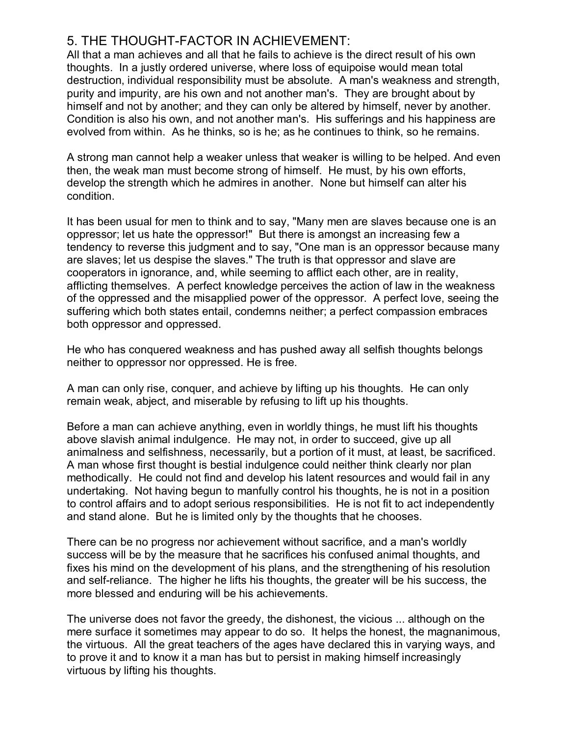## 5. THE THOUGHT-FACTOR IN ACHIEVEMENT:

All that a man achieves and all that he fails to achieve is the direct result of his own thoughts. In a justly ordered universe, where loss of equipoise would mean total destruction, individual responsibility must be absolute. A man's weakness and strength, purity and impurity, are his own and not another man's. They are brought about by himself and not by another; and they can only be altered by himself, never by another. Condition is also his own, and not another man's. His sufferings and his happiness are evolved from within. As he thinks, so is he; as he continues to think, so he remains.

A strong man cannot help a weaker unless that weaker is willing to be helped. And even then, the weak man must become strong of himself. He must, by his own efforts, develop the strength which he admires in another. None but himself can alter his condition.

It has been usual for men to think and to say, "Many men are slaves because one is an oppressor; let us hate the oppressor!" But there is amongst an increasing few a tendency to reverse this judgment and to say, "One man is an oppressor because many are slaves; let us despise the slaves." The truth is that oppressor and slave are cooperators in ignorance, and, while seeming to afflict each other, are in reality, afflicting themselves. A perfect knowledge perceives the action of law in the weakness of the oppressed and the misapplied power of the oppressor. A perfect love, seeing the suffering which both states entail, condemns neither; a perfect compassion embraces both oppressor and oppressed.

He who has conquered weakness and has pushed away all selfish thoughts belongs neither to oppressor nor oppressed. He is free.

A man can only rise, conquer, and achieve by lifting up his thoughts. He can only remain weak, abject, and miserable by refusing to lift up his thoughts.

Before a man can achieve anything, even in worldly things, he must lift his thoughts above slavish animal indulgence. He may not, in order to succeed, give up all animalness and selfishness, necessarily, but a portion of it must, at least, be sacrificed. A man whose first thought is bestial indulgence could neither think clearly nor plan methodically. He could not find and develop his latent resources and would fail in any undertaking. Not having begun to manfully control his thoughts, he is not in a position to control affairs and to adopt serious responsibilities. He is not fit to act independently and stand alone. But he is limited only by the thoughts that he chooses.

There can be no progress nor achievement without sacrifice, and a man's worldly success will be by the measure that he sacrifices his confused animal thoughts, and fixes his mind on the development of his plans, and the strengthening of his resolution and self-reliance. The higher he lifts his thoughts, the greater will be his success, the more blessed and enduring will be his achievements.

The universe does not favor the greedy, the dishonest, the vicious ... although on the mere surface it sometimes may appear to do so. It helps the honest, the magnanimous, the virtuous. All the great teachers of the ages have declared this in varying ways, and to prove it and to know it a man has but to persist in making himself increasingly virtuous by lifting his thoughts.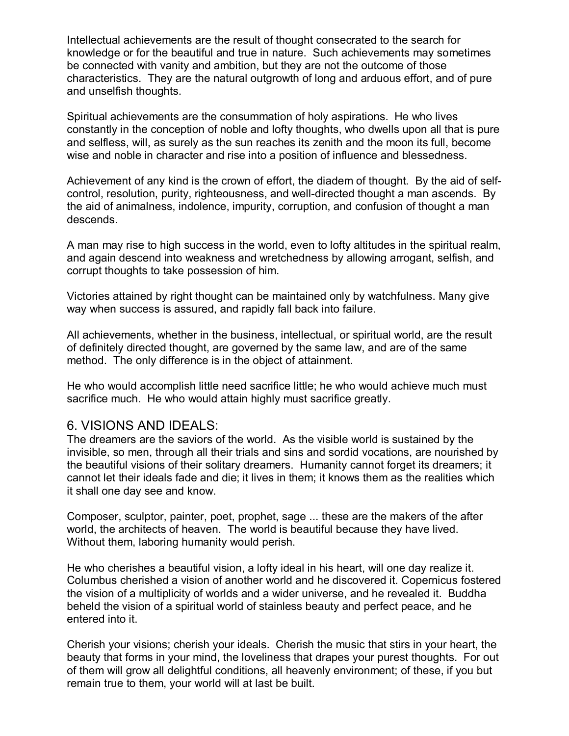Intellectual achievements are the result of thought consecrated to the search for knowledge or for the beautiful and true in nature. Such achievements may sometimes be connected with vanity and ambition, but they are not the outcome of those characteristics. They are the natural outgrowth of long and arduous effort, and of pure and unselfish thoughts.

Spiritual achievements are the consummation of holy aspirations. He who lives constantly in the conception of noble and lofty thoughts, who dwells upon all that is pure and selfless, will, as surely as the sun reaches its zenith and the moon its full, become wise and noble in character and rise into a position of influence and blessedness.

Achievement of any kind is the crown of effort, the diadem of thought. By the aid of selfcontrol, resolution, purity, righteousness, and well-directed thought a man ascends. By the aid of animalness, indolence, impurity, corruption, and confusion of thought a man descends.

A man may rise to high success in the world, even to lofty altitudes in the spiritual realm, and again descend into weakness and wretchedness by allowing arrogant, selfish, and corrupt thoughts to take possession of him.

Victories attained by right thought can be maintained only by watchfulness. Many give way when success is assured, and rapidly fall back into failure.

All achievements, whether in the business, intellectual, or spiritual world, are the result of definitely directed thought, are governed by the same law, and are of the same method. The only difference is in the object of attainment.

He who would accomplish little need sacrifice little; he who would achieve much must sacrifice much. He who would attain highly must sacrifice greatly.

## 6. VISIONS AND IDEALS:

The dreamers are the saviors of the world. As the visible world is sustained by the invisible, so men, through all their trials and sins and sordid vocations, are nourished by the beautiful visions of their solitary dreamers. Humanity cannot forget its dreamers; it cannot let their ideals fade and die; it lives in them; it knows them as the realities which it shall one day see and know.

Composer, sculptor, painter, poet, prophet, sage ... these are the makers of the after world, the architects of heaven. The world is beautiful because they have lived. Without them, laboring humanity would perish.

He who cherishes a beautiful vision, a lofty ideal in his heart, will one day realize it. Columbus cherished a vision of another world and he discovered it. Copernicus fostered the vision of a multiplicity of worlds and a wider universe, and he revealed it. Buddha beheld the vision of a spiritual world of stainless beauty and perfect peace, and he entered into it.

Cherish your visions; cherish your ideals. Cherish the music that stirs in your heart, the beauty that forms in your mind, the loveliness that drapes your purest thoughts. For out of them will grow all delightful conditions, all heavenly environment; of these, if you but remain true to them, your world will at last be built.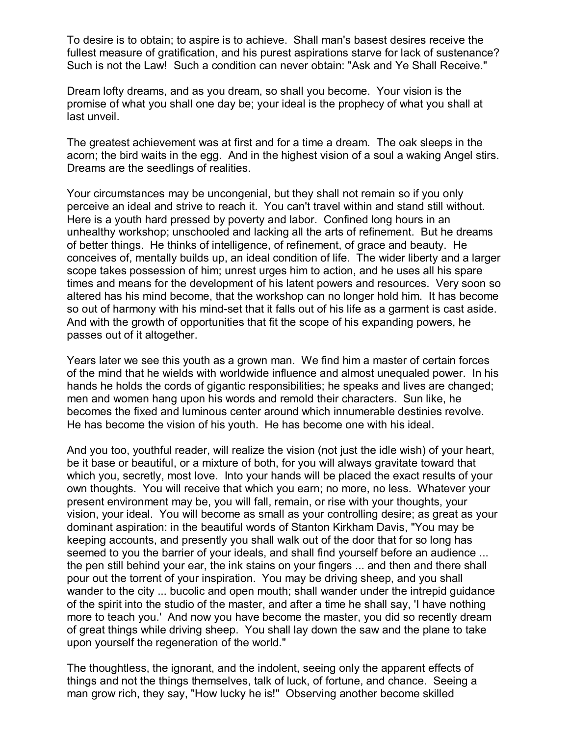To desire is to obtain; to aspire is to achieve. Shall man's basest desires receive the fullest measure of gratification, and his purest aspirations starve for lack of sustenance? Such is not the Law! Such a condition can never obtain: "Ask and Ye Shall Receive."

Dream lofty dreams, and as you dream, so shall you become. Your vision is the promise of what you shall one day be; your ideal is the prophecy of what you shall at last unveil.

The greatest achievement was at first and for a time a dream. The oak sleeps in the acorn; the bird waits in the egg. And in the highest vision of a soul a waking Angel stirs. Dreams are the seedlings of realities.

Your circumstances may be uncongenial, but they shall not remain so if you only perceive an ideal and strive to reach it. You can't travel within and stand still without. Here is a youth hard pressed by poverty and labor. Confined long hours in an unhealthy workshop; unschooled and lacking all the arts of refinement. But he dreams of better things. He thinks of intelligence, of refinement, of grace and beauty. He conceives of, mentally builds up, an ideal condition of life. The wider liberty and a larger scope takes possession of him; unrest urges him to action, and he uses all his spare times and means for the development of his latent powers and resources. Very soon so altered has his mind become, that the workshop can no longer hold him. It has become so out of harmony with his mind-set that it falls out of his life as a garment is cast aside. And with the growth of opportunities that fit the scope of his expanding powers, he passes out of it altogether.

Years later we see this youth as a grown man. We find him a master of certain forces of the mind that he wields with worldwide influence and almost unequaled power. In his hands he holds the cords of gigantic responsibilities; he speaks and lives are changed; men and women hang upon his words and remold their characters. Sun like, he becomes the fixed and luminous center around which innumerable destinies revolve. He has become the vision of his youth. He has become one with his ideal.

And you too, youthful reader, will realize the vision (not just the idle wish) of your heart, be it base or beautiful, or a mixture of both, for you will always gravitate toward that which you, secretly, most love. Into your hands will be placed the exact results of your own thoughts. You will receive that which you earn; no more, no less. Whatever your present environment may be, you will fall, remain, or rise with your thoughts, your vision, your ideal. You will become as small as your controlling desire; as great as your dominant aspiration: in the beautiful words of Stanton Kirkham Davis, "You may be keeping accounts, and presently you shall walk out of the door that for so long has seemed to you the barrier of your ideals, and shall find yourself before an audience ... the pen still behind your ear, the ink stains on your fingers ... and then and there shall pour out the torrent of your inspiration. You may be driving sheep, and you shall wander to the city ... bucolic and open mouth; shall wander under the intrepid guidance of the spirit into the studio of the master, and after a time he shall say, 'I have nothing more to teach you.' And now you have become the master, you did so recently dream of great things while driving sheep. You shall lay down the saw and the plane to take upon yourself the regeneration of the world."

The thoughtless, the ignorant, and the indolent, seeing only the apparent effects of things and not the things themselves, talk of luck, of fortune, and chance. Seeing a man grow rich, they say, "How lucky he is!" Observing another become skilled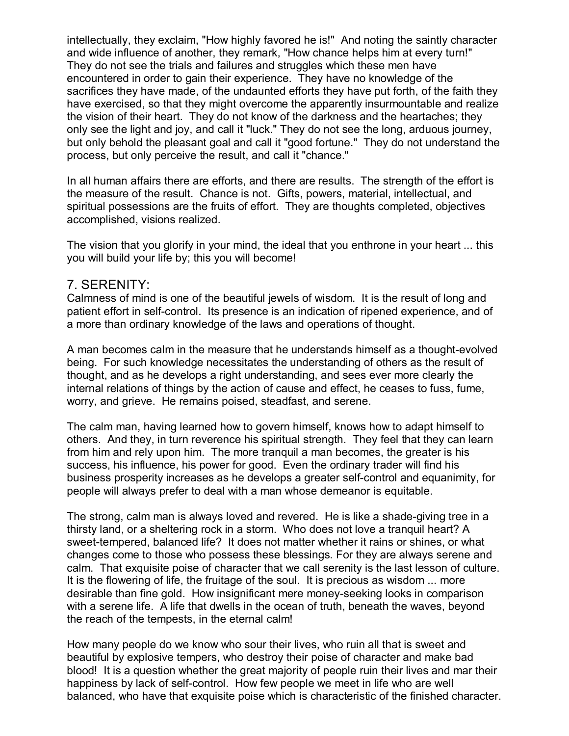intellectually, they exclaim, "How highly favored he is!" And noting the saintly character and wide influence of another, they remark, "How chance helps him at every turn!" They do not see the trials and failures and struggles which these men have encountered in order to gain their experience. They have no knowledge of the sacrifices they have made, of the undaunted efforts they have put forth, of the faith they have exercised, so that they might overcome the apparently insurmountable and realize the vision of their heart. They do not know of the darkness and the heartaches; they only see the light and joy, and call it "luck." They do not see the long, arduous journey, but only behold the pleasant goal and call it "good fortune." They do not understand the process, but only perceive the result, and call it "chance."

In all human affairs there are efforts, and there are results. The strength of the effort is the measure of the result. Chance is not. Gifts, powers, material, intellectual, and spiritual possessions are the fruits of effort. They are thoughts completed, objectives accomplished, visions realized.

The vision that you glorify in your mind, the ideal that you enthrone in your heart ... this you will build your life by; this you will become!

#### 7. SERENITY:

Calmness of mind is one of the beautiful jewels of wisdom. It is the result of long and patient effort in self-control. Its presence is an indication of ripened experience, and of a more than ordinary knowledge of the laws and operations of thought.

A man becomes calm in the measure that he understands himself as a thought-evolved being. For such knowledge necessitates the understanding of others as the result of thought, and as he develops a right understanding, and sees ever more clearly the internal relations of things by the action of cause and effect, he ceases to fuss, fume, worry, and grieve. He remains poised, steadfast, and serene.

The calm man, having learned how to govern himself, knows how to adapt himself to others. And they, in turn reverence his spiritual strength. They feel that they can learn from him and rely upon him. The more tranquil a man becomes, the greater is his success, his influence, his power for good. Even the ordinary trader will find his business prosperity increases as he develops a greater self-control and equanimity, for people will always prefer to deal with a man whose demeanor is equitable.

The strong, calm man is always loved and revered. He is like a shade-giving tree in a thirsty land, or a sheltering rock in a storm. Who does not love a tranquil heart? A sweet-tempered, balanced life? It does not matter whether it rains or shines, or what changes come to those who possess these blessings. For they are always serene and calm. That exquisite poise of character that we call serenity is the last lesson of culture. It is the flowering of life, the fruitage of the soul. It is precious as wisdom ... more desirable than fine gold. How insignificant mere money-seeking looks in comparison with a serene life. A life that dwells in the ocean of truth, beneath the waves, beyond the reach of the tempests, in the eternal calm!

How many people do we know who sour their lives, who ruin all that is sweet and beautiful by explosive tempers, who destroy their poise of character and make bad blood! It is a question whether the great majority of people ruin their lives and mar their happiness by lack of self-control. How few people we meet in life who are well balanced, who have that exquisite poise which is characteristic of the finished character.